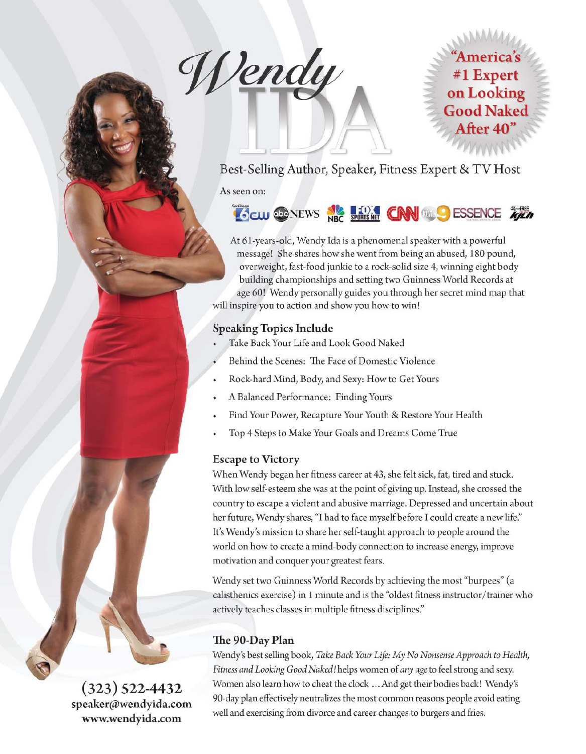Wendy

# 'America's #1 Expert on Looking **Good Naked** After 40"

Best-Selling Author, Speaker, Fitness Expert & TV Host

As seen on:

# **COCUP OF NEWS NEWS FORE CONNELLY ESSENCE THEN**

At 61-years-old, Wendy Ida is a phenomenal speaker with a powerful message! She shares how she went from being an abused, 180 pound, overweight, fast-food junkie to a rock-solid size 4, winning eight body building championships and setting two Guinness World Records at age 60! Wendy personally guides you through her secret mind map that will inspire you to action and show you how to win!

# **Speaking Topics Include**

- Take Back Your Life and Look Good Naked
- Behind the Scenes: The Face of Domestic Violence
- Rock-hard Mind, Body, and Sexy: How to Get Yours
- A Balanced Performance: Finding Yours
- Find Your Power, Recapture Your Youth & Restore Your Health
- Top 4 Steps to Make Your Goals and Dreams Come True

#### **Escape to Victory**

When Wendy began her fitness career at 43, she felt sick, fat, tired and stuck. With low self-esteem she was at the point of giving up. Instead, she crossed the country to escape a violent and abusive marriage. Depressed and uncertain about her future, Wendy shares, "I had to face myself before I could create a new life." It's Wendy's mission to share her self-taught approach to people around the world on how to create a mind-body connection to increase energy, improve motivation and conquer your greatest fears.

Wendy set two Guinness World Records by achieving the most "burpees" (a calisthenics exercise) in 1 minute and is the "oldest fitness instructor/trainer who actively teaches classes in multiple fitness disciplines."

# The 90-Day Plan

Wendy's best selling book, Take Back Your Life: My No Nonsense Approach to Health, Fitness and Looking Good Naked! helps women of any age to feel strong and sexy. Women also learn how to cheat the clock ... And get their bodies back! Wendy's 90-day plan effectively neutralizes the most common reasons people avoid eating well and exercising from divorce and career changes to burgers and fries.

 $(323)$  522-4432 speaker@wendyida.com www.wendyida.com